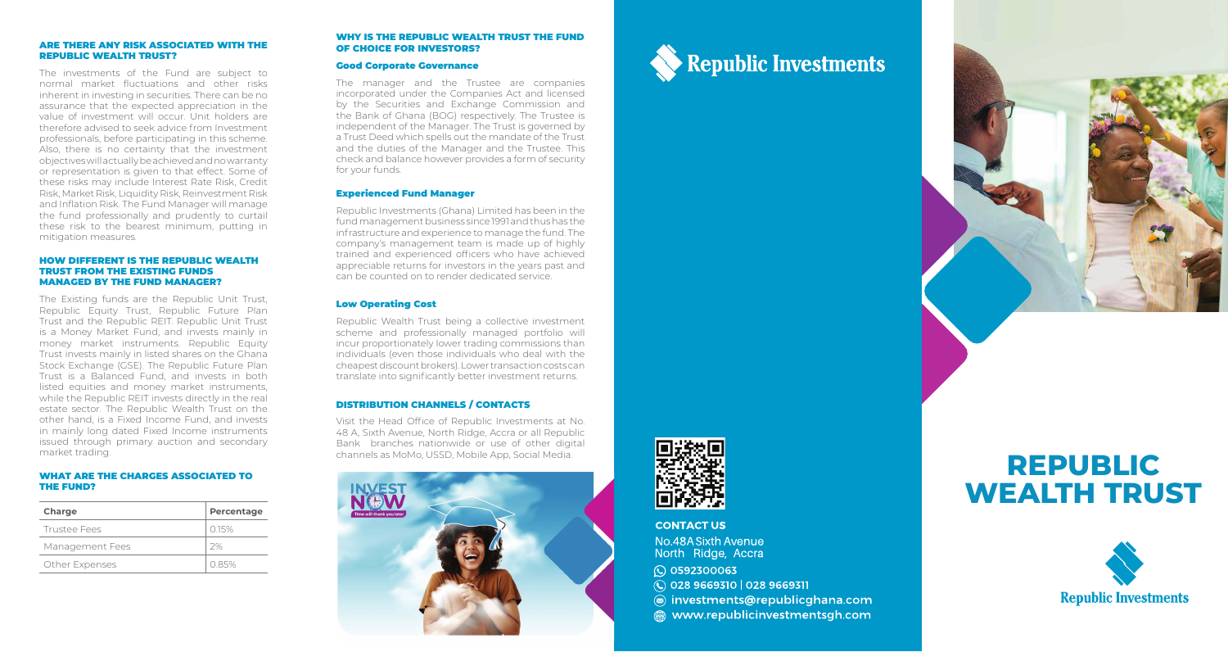#### ARE THERE ANY RISK ASSOCIATED WITH THE REPUBLIC WEALTH TRUST?

The investments of the Fund are subject to normal market fluctuations and other risks inherent in investing in securities. There can be no assurance that the expected appreciation in the value of investment will occur. Unit holders are therefore advised to seek advice from Investment professionals, before participating in this scheme. Also, there is no certainty that the investment objectives will actually be achieved and no warranty or representation is given to that effect. Some of these risks may include Interest Rate Risk, Credit Risk, Market Risk, Liquidity Risk, Reinvestment Risk and Inflation Risk. The Fund Manager will manage the fund professionally and prudently to curtail these risk to the bearest minimum, putting in mitigation measures.

#### HOW DIFFERENT IS THE REPUBLIC WEALTH TRUST FROM THE EXISTING FUNDS MANAGED BY THE FUND MANAGER?

The Existing funds are the Republic Unit Trust, Republic Equity Trust, Republic Future Plan Trust and the Republic REIT. Republic Unit Trust is a Money Market Fund, and invests mainly in money market instruments. Republic Equity Trust invests mainly in listed shares on the Ghana Stock Exchange (GSE). The Republic Future Plan Trust is a Balanced Fund, and invests in both listed equities and money market instruments, while the Republic REIT invests directly in the real estate sector. The Republic Wealth Trust on the other hand, is a Fixed Income Fund, and invests in mainly long dated Fixed Income instruments issued through primary auction and secondary market trading.

#### WHAT ARE THE CHARGES ASSOCIATED TO THE FUND?

| Charge          | Percentage |
|-----------------|------------|
| Trustee Fees    | 015%       |
| Management Fees | 2%         |
| Other Expenses  | 085%       |

# WHY IS THE REPUBLIC WEALTH TRUST THE FUND OF CHOICE FOR INVESTORS?

# Good Corporate Governance

The manager and the Trustee are companies incorporated under the Companies Act and licensed by the Securities and Exchange Commission and the Bank of Ghana (BOG) respectively. The Trustee is independent of the Manager. The Trust is governed by a Trust Deed which spells out the mandate of the Trust and the duties of the Manager and the Trustee. This check and balance however provides a form of security for your fund s.

# Experienced Fund Manager

Republic Investments (Ghana) Limited has been in the fund management business since 1991 and thus has the infrastructure and experience to manage the fund. The company's management team is made up of highly trained and experienced officers who have achieved appreciable returns for investors in the years past and can be counted on to render dedicated service.

# Low Operating Cost

Republic Wealth Trust being a collective investment scheme and professionally managed portfolio will incur proportionately lower trading commissions than individuals (even those individuals who deal with the cheapest discount brokers). Lower transaction costs can translate into significantly better investment returns.

# DISTRIBUTION CHANNELS / CONTACTS

Visit the Head Office of Republic Investments at No. 48 A, Sixth Avenue, North Ridge, Accra or all Republic Bank branches nationwide or use of other digital channels as MoMo, USSD, Mobile App, Social Media.





**CONTACT US** 

No.48A Sixth Avenue North Ridge, Accra C 0592300063  $\bigcirc$  028 9669310 | 028 9669311 (a) investments@republicghana.com mww.republicinvestmentsgh.com

**Republic Investments** 

# **REPUBLIC WEALTH TRUST**